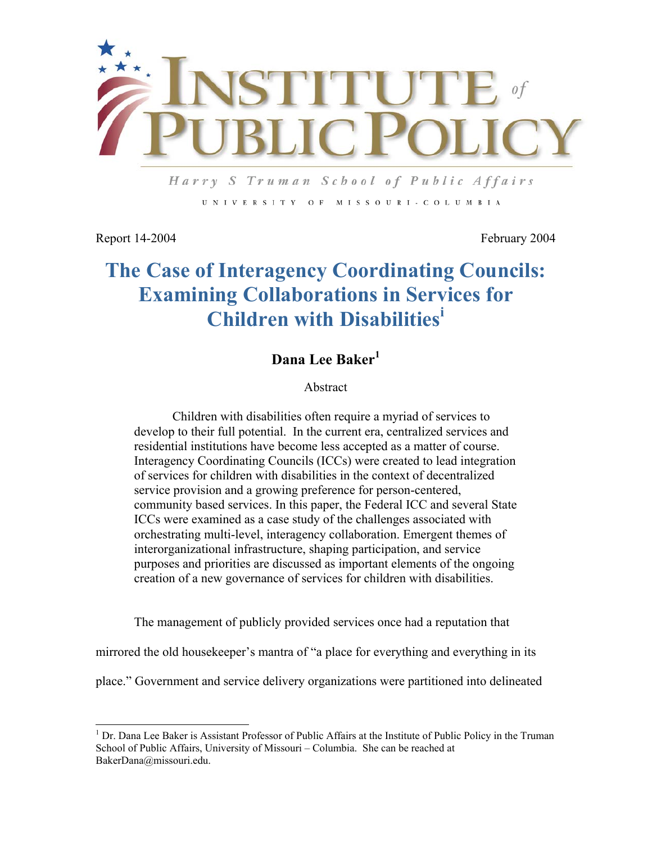

Harry S Truman School of Public Affairs UNIVERSITY OF MISSOURI-COLUMBIA

Report 14-2004 February 2004

# **The Case of Interagency Coordinating Councils: Examining Collaborations in Services for Children with Disabilities<sup>i</sup>**

# **Dana Lee Baker<sup>1</sup>**

Abstract

Children with disabilities often require a myriad of services to develop to their full potential. In the current era, centralized services and residential institutions have become less accepted as a matter of course. Interagency Coordinating Councils (ICCs) were created to lead integration of services for children with disabilities in the context of decentralized service provision and a growing preference for person-centered, community based services. In this paper, the Federal ICC and several State ICCs were examined as a case study of the challenges associated with orchestrating multi-level, interagency collaboration. Emergent themes of interorganizational infrastructure, shaping participation, and service purposes and priorities are discussed as important elements of the ongoing creation of a new governance of services for children with disabilities.

The management of publicly provided services once had a reputation that

mirrored the old housekeeper's mantra of "a place for everything and everything in its

place." Government and service delivery organizations were partitioned into delineated

<sup>&</sup>lt;sup>1</sup> Dr. Dana Lee Baker is Assistant Professor of Public Affairs at the Institute of Public Policy in the Truman School of Public Affairs, University of Missouri – Columbia. She can be reached at BakerDana@missouri.edu.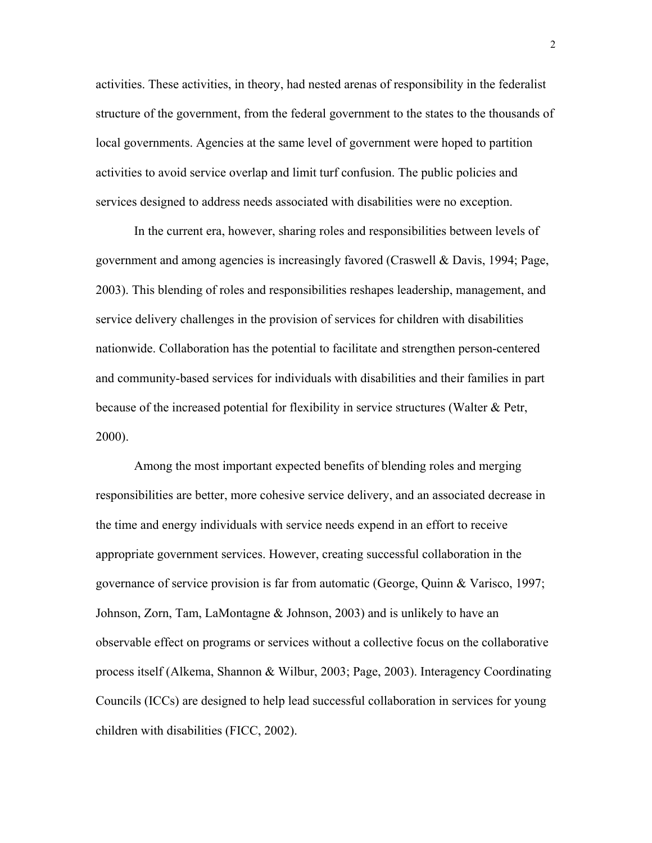activities. These activities, in theory, had nested arenas of responsibility in the federalist structure of the government, from the federal government to the states to the thousands of local governments. Agencies at the same level of government were hoped to partition activities to avoid service overlap and limit turf confusion. The public policies and services designed to address needs associated with disabilities were no exception.

In the current era, however, sharing roles and responsibilities between levels of government and among agencies is increasingly favored (Craswell & Davis, 1994; Page, 2003). This blending of roles and responsibilities reshapes leadership, management, and service delivery challenges in the provision of services for children with disabilities nationwide. Collaboration has the potential to facilitate and strengthen person-centered and community-based services for individuals with disabilities and their families in part because of the increased potential for flexibility in service structures (Walter & Petr, 2000).

 Among the most important expected benefits of blending roles and merging responsibilities are better, more cohesive service delivery, and an associated decrease in the time and energy individuals with service needs expend in an effort to receive appropriate government services. However, creating successful collaboration in the governance of service provision is far from automatic (George, Quinn & Varisco, 1997; Johnson, Zorn, Tam, LaMontagne & Johnson, 2003) and is unlikely to have an observable effect on programs or services without a collective focus on the collaborative process itself (Alkema, Shannon & Wilbur, 2003; Page, 2003). Interagency Coordinating Councils (ICCs) are designed to help lead successful collaboration in services for young children with disabilities (FICC, 2002).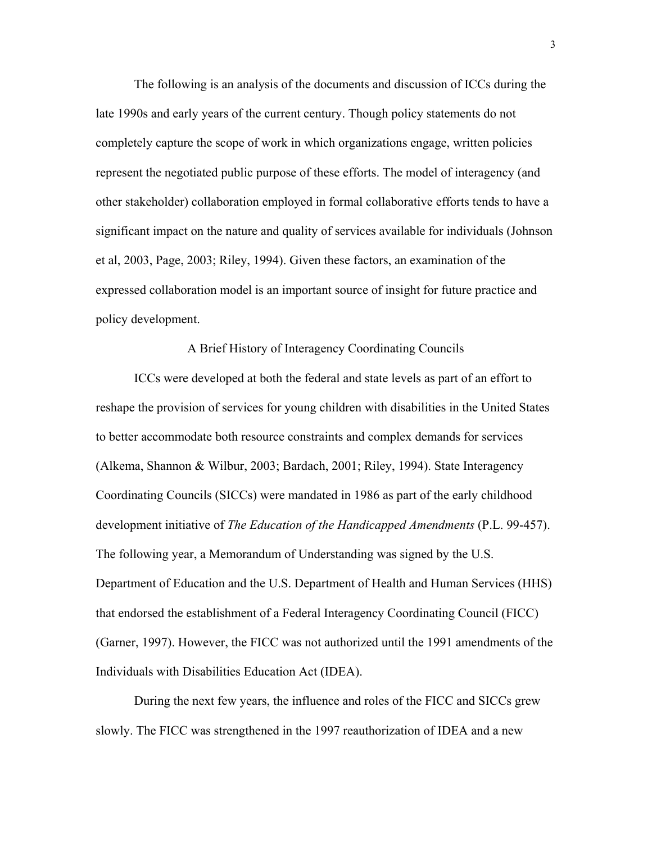The following is an analysis of the documents and discussion of ICCs during the late 1990s and early years of the current century. Though policy statements do not completely capture the scope of work in which organizations engage, written policies represent the negotiated public purpose of these efforts. The model of interagency (and other stakeholder) collaboration employed in formal collaborative efforts tends to have a significant impact on the nature and quality of services available for individuals (Johnson et al, 2003, Page, 2003; Riley, 1994). Given these factors, an examination of the expressed collaboration model is an important source of insight for future practice and policy development.

#### A Brief History of Interagency Coordinating Councils

ICCs were developed at both the federal and state levels as part of an effort to reshape the provision of services for young children with disabilities in the United States to better accommodate both resource constraints and complex demands for services (Alkema, Shannon & Wilbur, 2003; Bardach, 2001; Riley, 1994). State Interagency Coordinating Councils (SICCs) were mandated in 1986 as part of the early childhood development initiative of *The Education of the Handicapped Amendments* (P.L. 99-457). The following year, a Memorandum of Understanding was signed by the U.S. Department of Education and the U.S. Department of Health and Human Services (HHS) that endorsed the establishment of a Federal Interagency Coordinating Council (FICC) (Garner, 1997). However, the FICC was not authorized until the 1991 amendments of the Individuals with Disabilities Education Act (IDEA).

During the next few years, the influence and roles of the FICC and SICCs grew slowly. The FICC was strengthened in the 1997 reauthorization of IDEA and a new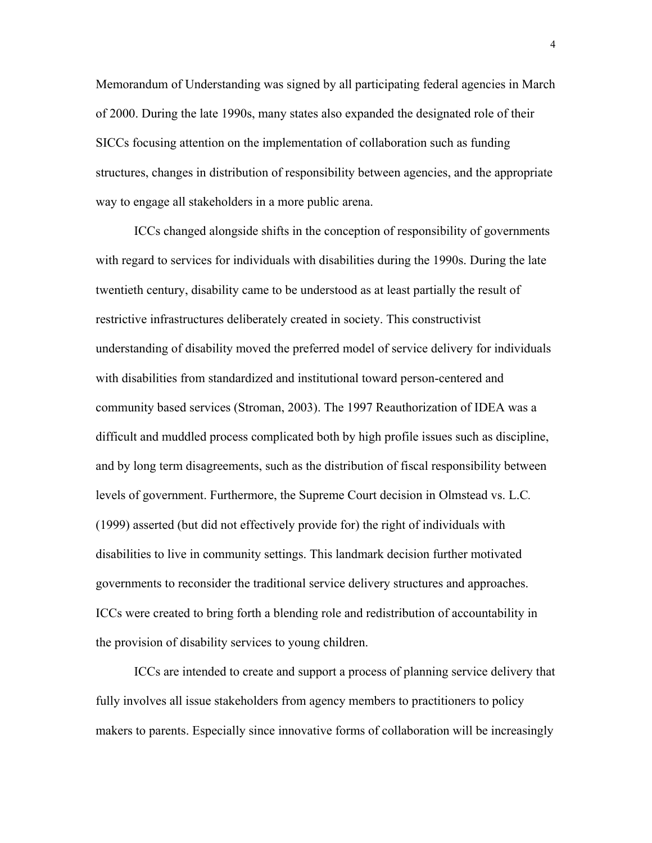Memorandum of Understanding was signed by all participating federal agencies in March of 2000. During the late 1990s, many states also expanded the designated role of their SICCs focusing attention on the implementation of collaboration such as funding structures, changes in distribution of responsibility between agencies, and the appropriate way to engage all stakeholders in a more public arena.

ICCs changed alongside shifts in the conception of responsibility of governments with regard to services for individuals with disabilities during the 1990s. During the late twentieth century, disability came to be understood as at least partially the result of restrictive infrastructures deliberately created in society. This constructivist understanding of disability moved the preferred model of service delivery for individuals with disabilities from standardized and institutional toward person-centered and community based services (Stroman, 2003). The 1997 Reauthorization of IDEA was a difficult and muddled process complicated both by high profile issues such as discipline, and by long term disagreements, such as the distribution of fiscal responsibility between levels of government. Furthermore, the Supreme Court decision in Olmstead vs. L.C*.*  (1999) asserted (but did not effectively provide for) the right of individuals with disabilities to live in community settings. This landmark decision further motivated governments to reconsider the traditional service delivery structures and approaches. ICCs were created to bring forth a blending role and redistribution of accountability in the provision of disability services to young children.

 ICCs are intended to create and support a process of planning service delivery that fully involves all issue stakeholders from agency members to practitioners to policy makers to parents. Especially since innovative forms of collaboration will be increasingly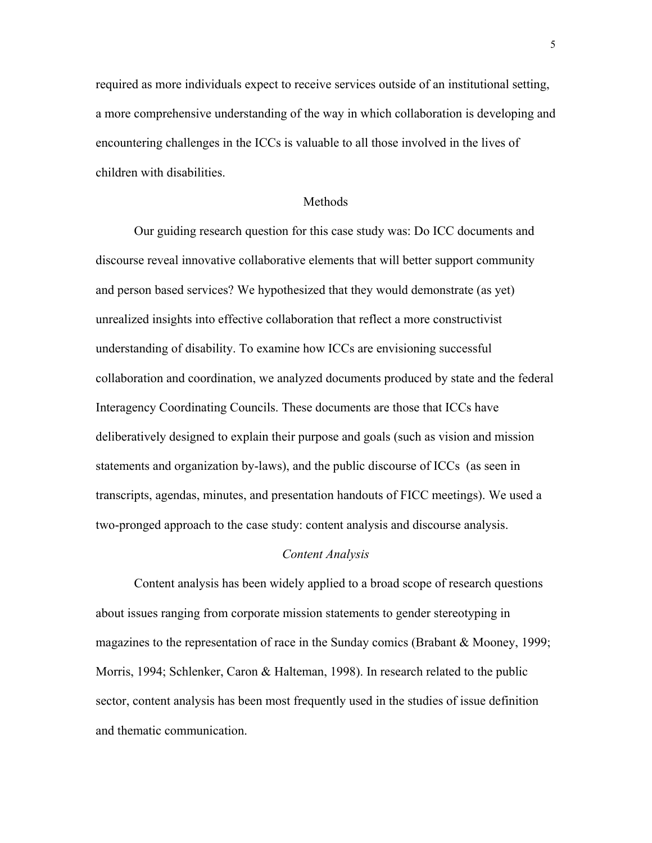required as more individuals expect to receive services outside of an institutional setting, a more comprehensive understanding of the way in which collaboration is developing and encountering challenges in the ICCs is valuable to all those involved in the lives of children with disabilities.

#### Methods

 Our guiding research question for this case study was: Do ICC documents and discourse reveal innovative collaborative elements that will better support community and person based services? We hypothesized that they would demonstrate (as yet) unrealized insights into effective collaboration that reflect a more constructivist understanding of disability. To examine how ICCs are envisioning successful collaboration and coordination, we analyzed documents produced by state and the federal Interagency Coordinating Councils. These documents are those that ICCs have deliberatively designed to explain their purpose and goals (such as vision and mission statements and organization by-laws), and the public discourse of ICCs (as seen in transcripts, agendas, minutes, and presentation handouts of FICC meetings). We used a two-pronged approach to the case study: content analysis and discourse analysis.

#### *Content Analysis*

Content analysis has been widely applied to a broad scope of research questions about issues ranging from corporate mission statements to gender stereotyping in magazines to the representation of race in the Sunday comics (Brabant & Mooney, 1999; Morris, 1994; Schlenker, Caron & Halteman, 1998). In research related to the public sector, content analysis has been most frequently used in the studies of issue definition and thematic communication.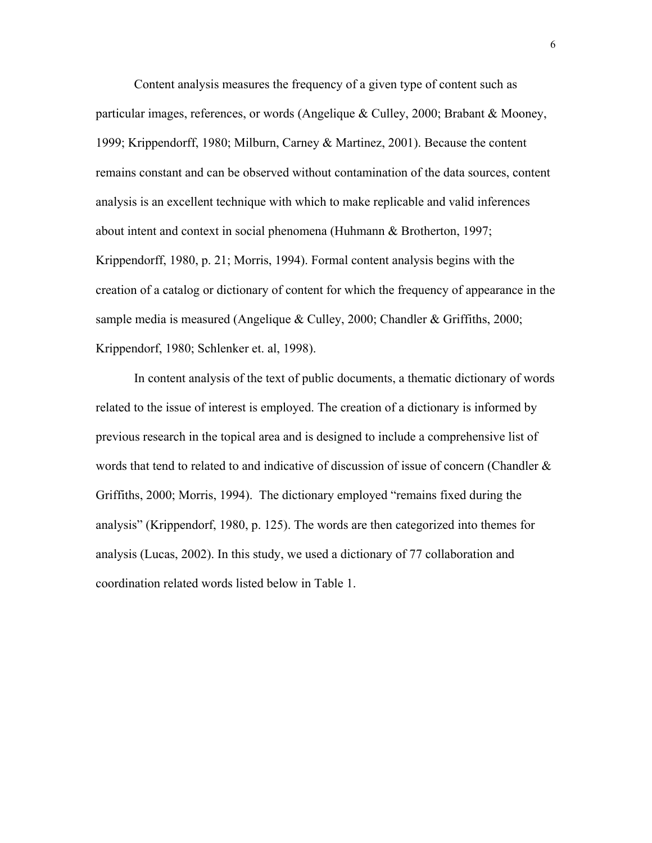Content analysis measures the frequency of a given type of content such as particular images, references, or words (Angelique & Culley, 2000; Brabant & Mooney, 1999; Krippendorff, 1980; Milburn, Carney & Martinez, 2001). Because the content remains constant and can be observed without contamination of the data sources, content analysis is an excellent technique with which to make replicable and valid inferences about intent and context in social phenomena (Huhmann & Brotherton, 1997; Krippendorff, 1980, p. 21; Morris, 1994). Formal content analysis begins with the creation of a catalog or dictionary of content for which the frequency of appearance in the sample media is measured (Angelique & Culley, 2000; Chandler & Griffiths, 2000; Krippendorf, 1980; Schlenker et. al, 1998).

In content analysis of the text of public documents, a thematic dictionary of words related to the issue of interest is employed. The creation of a dictionary is informed by previous research in the topical area and is designed to include a comprehensive list of words that tend to related to and indicative of discussion of issue of concern (Chandler & Griffiths, 2000; Morris, 1994). The dictionary employed "remains fixed during the analysis" (Krippendorf, 1980, p. 125). The words are then categorized into themes for analysis (Lucas, 2002). In this study, we used a dictionary of 77 collaboration and coordination related words listed below in Table 1.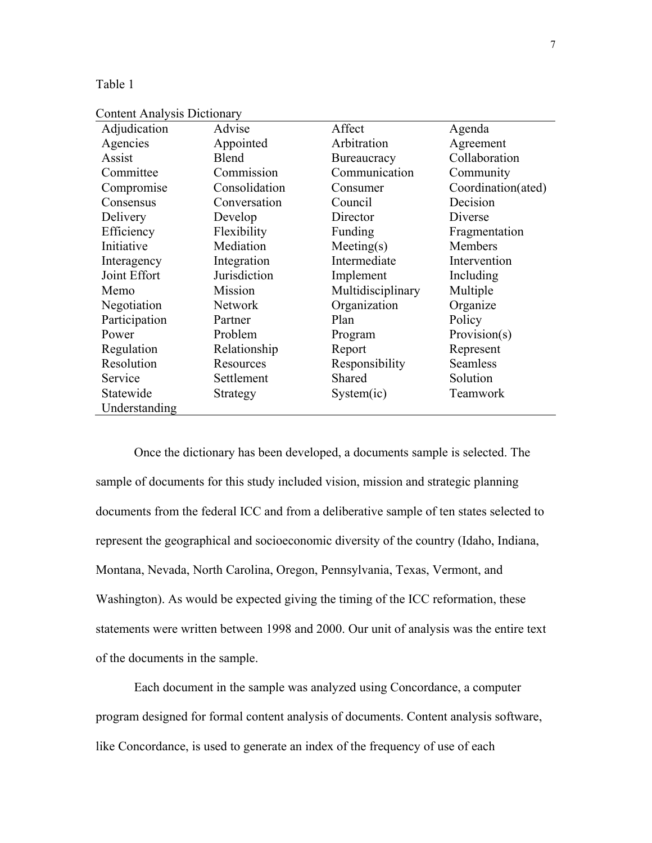#### Table 1

| Coordination(ated) |
|--------------------|
|                    |
|                    |
|                    |
|                    |
|                    |
|                    |
|                    |
|                    |
|                    |
|                    |
|                    |
|                    |
|                    |
|                    |
|                    |
|                    |

## Content Analysis Dicti

Once the dictionary has been developed, a documents sample is selected. The sample of documents for this study included vision, mission and strategic planning documents from the federal ICC and from a deliberative sample of ten states selected to represent the geographical and socioeconomic diversity of the country (Idaho, Indiana, Montana, Nevada, North Carolina, Oregon, Pennsylvania, Texas, Vermont, and Washington). As would be expected giving the timing of the ICC reformation, these statements were written between 1998 and 2000. Our unit of analysis was the entire text of the documents in the sample.

Each document in the sample was analyzed using Concordance, a computer program designed for formal content analysis of documents. Content analysis software, like Concordance, is used to generate an index of the frequency of use of each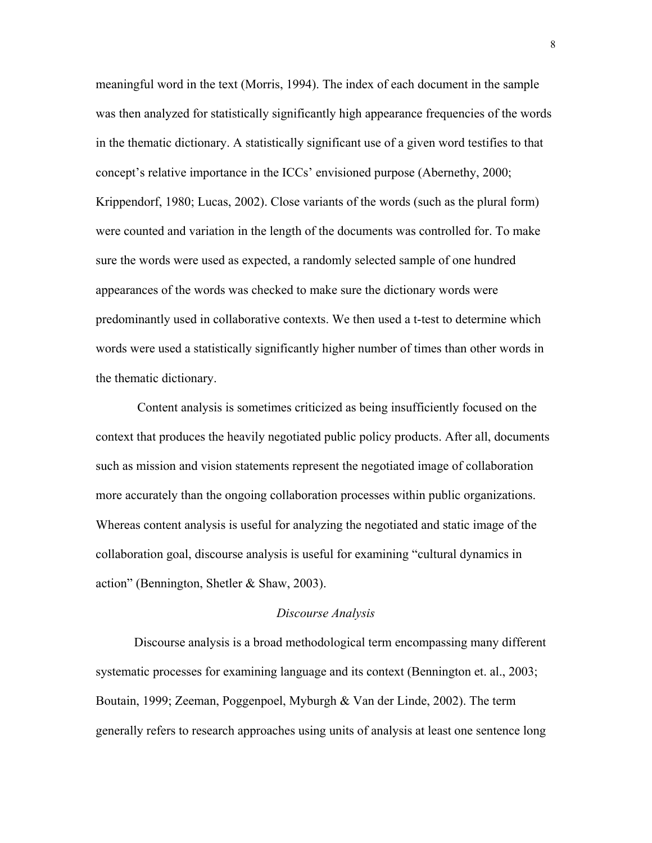meaningful word in the text (Morris, 1994). The index of each document in the sample was then analyzed for statistically significantly high appearance frequencies of the words in the thematic dictionary. A statistically significant use of a given word testifies to that concept's relative importance in the ICCs' envisioned purpose (Abernethy, 2000; Krippendorf, 1980; Lucas, 2002). Close variants of the words (such as the plural form) were counted and variation in the length of the documents was controlled for. To make sure the words were used as expected, a randomly selected sample of one hundred appearances of the words was checked to make sure the dictionary words were predominantly used in collaborative contexts. We then used a t-test to determine which words were used a statistically significantly higher number of times than other words in the thematic dictionary.

 Content analysis is sometimes criticized as being insufficiently focused on the context that produces the heavily negotiated public policy products. After all, documents such as mission and vision statements represent the negotiated image of collaboration more accurately than the ongoing collaboration processes within public organizations. Whereas content analysis is useful for analyzing the negotiated and static image of the collaboration goal, discourse analysis is useful for examining "cultural dynamics in action" (Bennington, Shetler & Shaw, 2003).

#### *Discourse Analysis*

Discourse analysis is a broad methodological term encompassing many different systematic processes for examining language and its context (Bennington et. al., 2003; Boutain, 1999; Zeeman, Poggenpoel, Myburgh & Van der Linde, 2002). The term generally refers to research approaches using units of analysis at least one sentence long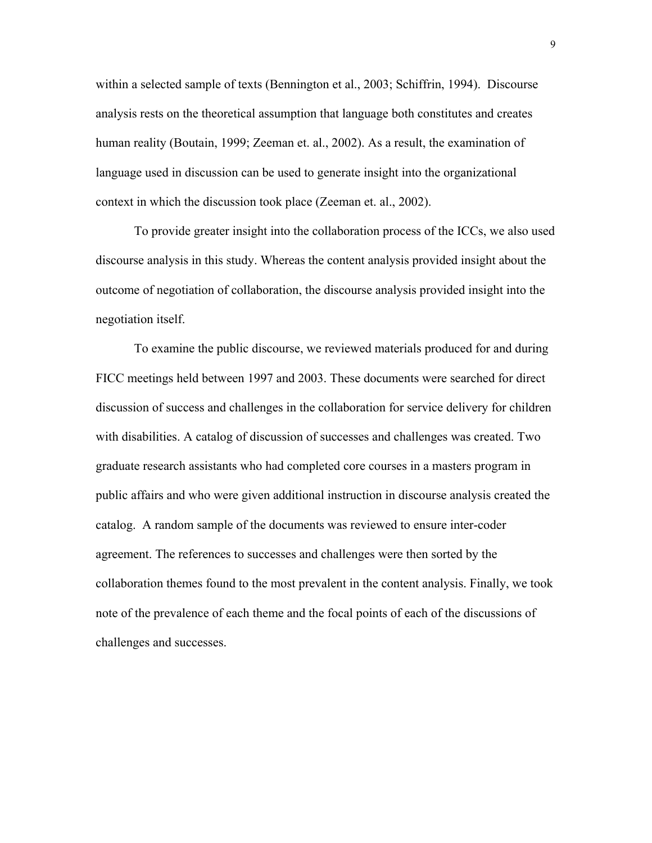within a selected sample of texts (Bennington et al., 2003; Schiffrin, 1994). Discourse analysis rests on the theoretical assumption that language both constitutes and creates human reality (Boutain, 1999; Zeeman et. al., 2002). As a result, the examination of language used in discussion can be used to generate insight into the organizational context in which the discussion took place (Zeeman et. al., 2002).

To provide greater insight into the collaboration process of the ICCs, we also used discourse analysis in this study. Whereas the content analysis provided insight about the outcome of negotiation of collaboration, the discourse analysis provided insight into the negotiation itself.

To examine the public discourse, we reviewed materials produced for and during FICC meetings held between 1997 and 2003. These documents were searched for direct discussion of success and challenges in the collaboration for service delivery for children with disabilities. A catalog of discussion of successes and challenges was created. Two graduate research assistants who had completed core courses in a masters program in public affairs and who were given additional instruction in discourse analysis created the catalog. A random sample of the documents was reviewed to ensure inter-coder agreement. The references to successes and challenges were then sorted by the collaboration themes found to the most prevalent in the content analysis. Finally, we took note of the prevalence of each theme and the focal points of each of the discussions of challenges and successes.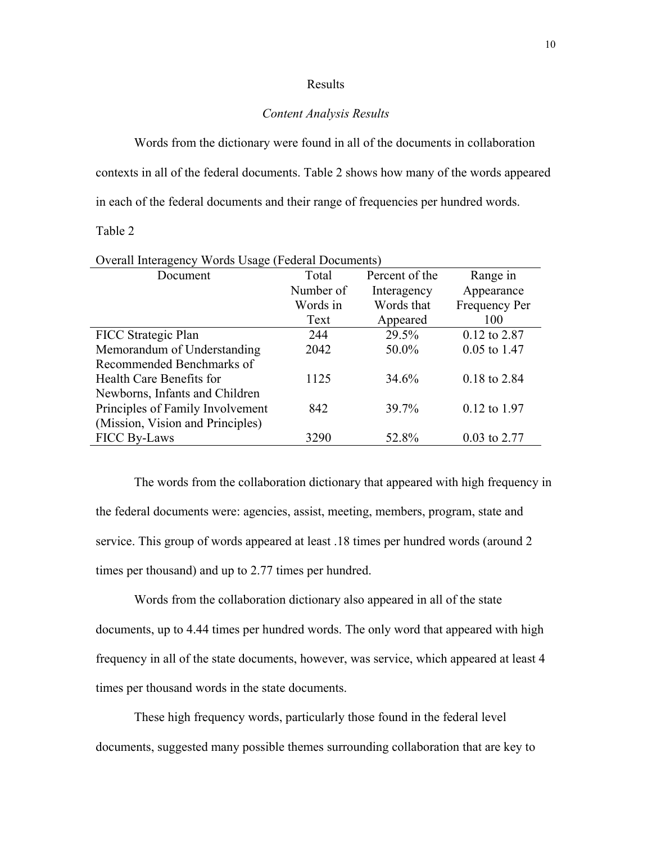#### Results

#### *Content Analysis Results*

 Words from the dictionary were found in all of the documents in collaboration contexts in all of the federal documents. Table 2 shows how many of the words appeared in each of the federal documents and their range of frequencies per hundred words.

#### Table 2

| <b>Overall Interagency Words Usage (Federal Documents)</b> |           |                |                      |  |  |  |
|------------------------------------------------------------|-----------|----------------|----------------------|--|--|--|
| Document                                                   | Total     | Percent of the | Range in             |  |  |  |
|                                                            | Number of | Interagency    | Appearance           |  |  |  |
|                                                            | Words in  | Words that     | <b>Frequency Per</b> |  |  |  |
|                                                            | Text      | Appeared       | 100                  |  |  |  |
| FICC Strategic Plan                                        | 244       | 29.5%          | $0.12$ to 2.87       |  |  |  |
| Memorandum of Understanding                                | 2042      | 50.0%          | $0.05$ to 1.47       |  |  |  |
| Recommended Benchmarks of                                  |           |                |                      |  |  |  |
| Health Care Benefits for                                   | 1125      | 34.6%          | 0.18 to 2.84         |  |  |  |
| Newborns, Infants and Children                             |           |                |                      |  |  |  |
| Principles of Family Involvement                           | 842       | 39.7%          | $0.12$ to 1.97       |  |  |  |
| (Mission, Vision and Principles)                           |           |                |                      |  |  |  |
| <b>FICC By-Laws</b>                                        | 3290      | 52.8%          | $0.03$ to 2.77       |  |  |  |

 The words from the collaboration dictionary that appeared with high frequency in the federal documents were: agencies, assist, meeting, members, program, state and service. This group of words appeared at least .18 times per hundred words (around 2 times per thousand) and up to 2.77 times per hundred.

 Words from the collaboration dictionary also appeared in all of the state documents, up to 4.44 times per hundred words. The only word that appeared with high frequency in all of the state documents, however, was service, which appeared at least 4 times per thousand words in the state documents.

 These high frequency words, particularly those found in the federal level documents, suggested many possible themes surrounding collaboration that are key to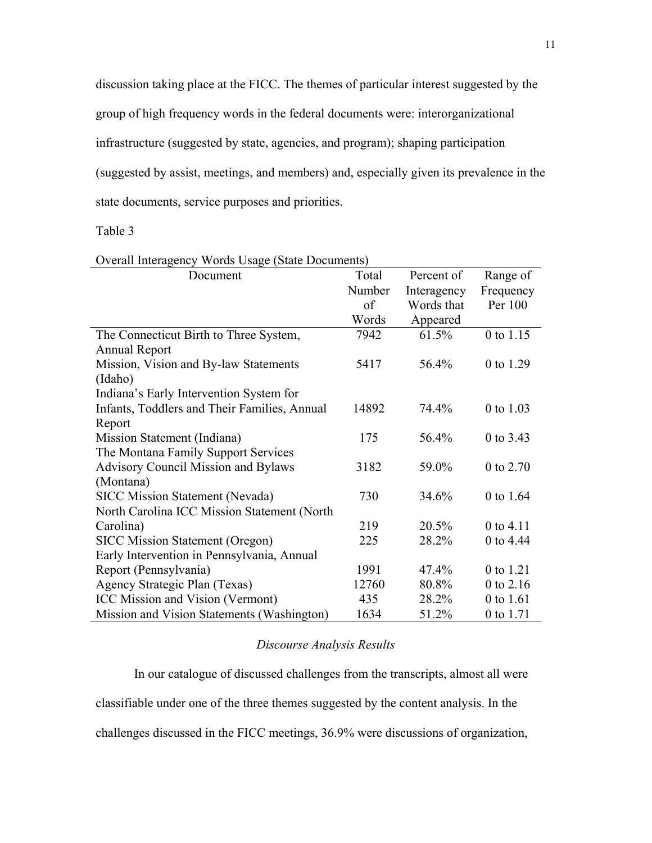discussion taking place at the FICC. The themes of particular interest suggested by the group of high frequency words in the federal documents were: interorganizational infrastructure (suggested by state, agencies, and program); shaping participation (suggested by assist, meetings, and members) and, especially given its prevalence in the state documents, service purposes and priorities.

Table 3

| Overall Interagency words Usage (State Documents) |        |             |           |  |
|---------------------------------------------------|--------|-------------|-----------|--|
| Document                                          | Total  | Percent of  | Range of  |  |
|                                                   | Number | Interagency | Frequency |  |
|                                                   | of     | Words that  | Per 100   |  |
|                                                   | Words  | Appeared    |           |  |
| The Connecticut Birth to Three System,            | 7942   | 61.5%       | 0 to 1.15 |  |
| <b>Annual Report</b>                              |        |             |           |  |
| Mission, Vision and By-law Statements             | 5417   | 56.4%       | 0 to 1.29 |  |
| (Idaho)                                           |        |             |           |  |
| Indiana's Early Intervention System for           |        |             |           |  |
| Infants, Toddlers and Their Families, Annual      | 14892  | 74.4%       | 0 to 1.03 |  |
| Report                                            |        |             |           |  |
| Mission Statement (Indiana)                       | 175    | 56.4%       | 0 to 3.43 |  |
| The Montana Family Support Services               |        |             |           |  |
| <b>Advisory Council Mission and Bylaws</b>        | 3182   | 59.0%       | 0 to 2.70 |  |
| (Montana)                                         |        |             |           |  |
| <b>SICC Mission Statement (Nevada)</b>            | 730    | 34.6%       | 0 to 1.64 |  |
| North Carolina ICC Mission Statement (North       |        |             |           |  |
| Carolina)                                         | 219    | 20.5%       | 0 to 4.11 |  |
| <b>SICC Mission Statement (Oregon)</b>            | 225    | 28.2%       | 0 to 4.44 |  |
| Early Intervention in Pennsylvania, Annual        |        |             |           |  |
| Report (Pennsylvania)                             | 1991   | 47.4%       | 0 to 1.21 |  |
| Agency Strategic Plan (Texas)                     | 12760  | 80.8%       | 0 to 2.16 |  |
| ICC Mission and Vision (Vermont)                  | 435    | 28.2%       | 0 to 1.61 |  |
| Mission and Vision Statements (Washington)        | 1634   | 51.2%       | 0 to 1.71 |  |

# Overall Interagency Words Usage (State Documents)

### *Discourse Analysis Results*

In our catalogue of discussed challenges from the transcripts, almost all were classifiable under one of the three themes suggested by the content analysis. In the challenges discussed in the FICC meetings, 36.9% were discussions of organization,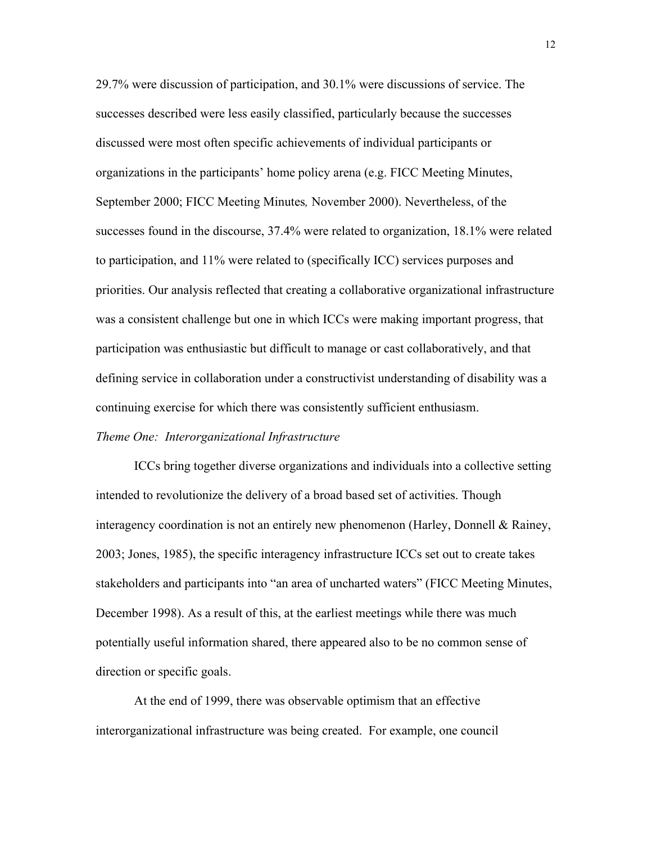29.7% were discussion of participation, and 30.1% were discussions of service. The successes described were less easily classified, particularly because the successes discussed were most often specific achievements of individual participants or organizations in the participants' home policy arena (e.g. FICC Meeting Minutes, September 2000; FICC Meeting Minutes*,* November 2000). Nevertheless, of the successes found in the discourse, 37.4% were related to organization, 18.1% were related to participation, and 11% were related to (specifically ICC) services purposes and priorities. Our analysis reflected that creating a collaborative organizational infrastructure was a consistent challenge but one in which ICCs were making important progress, that participation was enthusiastic but difficult to manage or cast collaboratively, and that defining service in collaboration under a constructivist understanding of disability was a continuing exercise for which there was consistently sufficient enthusiasm.

#### *Theme One: Interorganizational Infrastructure*

ICCs bring together diverse organizations and individuals into a collective setting intended to revolutionize the delivery of a broad based set of activities. Though interagency coordination is not an entirely new phenomenon (Harley, Donnell & Rainey, 2003; Jones, 1985), the specific interagency infrastructure ICCs set out to create takes stakeholders and participants into "an area of uncharted waters" (FICC Meeting Minutes, December 1998). As a result of this, at the earliest meetings while there was much potentially useful information shared, there appeared also to be no common sense of direction or specific goals.

At the end of 1999, there was observable optimism that an effective interorganizational infrastructure was being created. For example, one council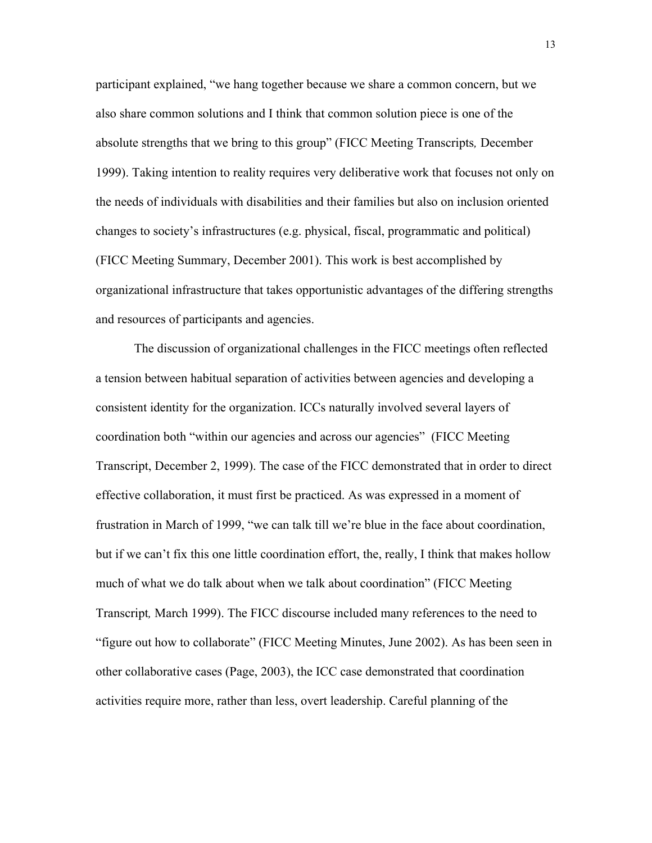participant explained, "we hang together because we share a common concern, but we also share common solutions and I think that common solution piece is one of the absolute strengths that we bring to this group" (FICC Meeting Transcripts*,* December 1999). Taking intention to reality requires very deliberative work that focuses not only on the needs of individuals with disabilities and their families but also on inclusion oriented changes to society's infrastructures (e.g. physical, fiscal, programmatic and political) (FICC Meeting Summary, December 2001). This work is best accomplished by organizational infrastructure that takes opportunistic advantages of the differing strengths and resources of participants and agencies.

The discussion of organizational challenges in the FICC meetings often reflected a tension between habitual separation of activities between agencies and developing a consistent identity for the organization. ICCs naturally involved several layers of coordination both "within our agencies and across our agencies" (FICC Meeting Transcript, December 2, 1999). The case of the FICC demonstrated that in order to direct effective collaboration, it must first be practiced. As was expressed in a moment of frustration in March of 1999, "we can talk till we're blue in the face about coordination, but if we can't fix this one little coordination effort, the, really, I think that makes hollow much of what we do talk about when we talk about coordination" (FICC Meeting Transcript*,* March 1999). The FICC discourse included many references to the need to "figure out how to collaborate" (FICC Meeting Minutes, June 2002). As has been seen in other collaborative cases (Page, 2003), the ICC case demonstrated that coordination activities require more, rather than less, overt leadership. Careful planning of the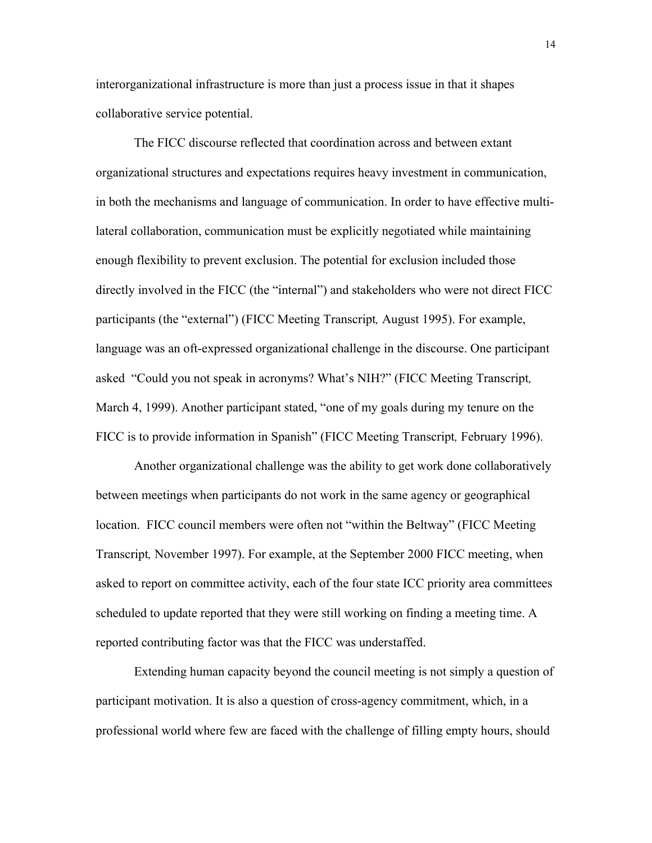interorganizational infrastructure is more than just a process issue in that it shapes collaborative service potential.

The FICC discourse reflected that coordination across and between extant organizational structures and expectations requires heavy investment in communication, in both the mechanisms and language of communication. In order to have effective multilateral collaboration, communication must be explicitly negotiated while maintaining enough flexibility to prevent exclusion. The potential for exclusion included those directly involved in the FICC (the "internal") and stakeholders who were not direct FICC participants (the "external") (FICC Meeting Transcript*,* August 1995). For example, language was an oft-expressed organizational challenge in the discourse. One participant asked "Could you not speak in acronyms? What's NIH?" (FICC Meeting Transcript*,*  March 4, 1999). Another participant stated, "one of my goals during my tenure on the FICC is to provide information in Spanish" (FICC Meeting Transcript*,* February 1996).

 Another organizational challenge was the ability to get work done collaboratively between meetings when participants do not work in the same agency or geographical location. FICC council members were often not "within the Beltway" (FICC Meeting Transcript*,* November 1997). For example, at the September 2000 FICC meeting, when asked to report on committee activity, each of the four state ICC priority area committees scheduled to update reported that they were still working on finding a meeting time. A reported contributing factor was that the FICC was understaffed.

Extending human capacity beyond the council meeting is not simply a question of participant motivation. It is also a question of cross-agency commitment, which, in a professional world where few are faced with the challenge of filling empty hours, should

14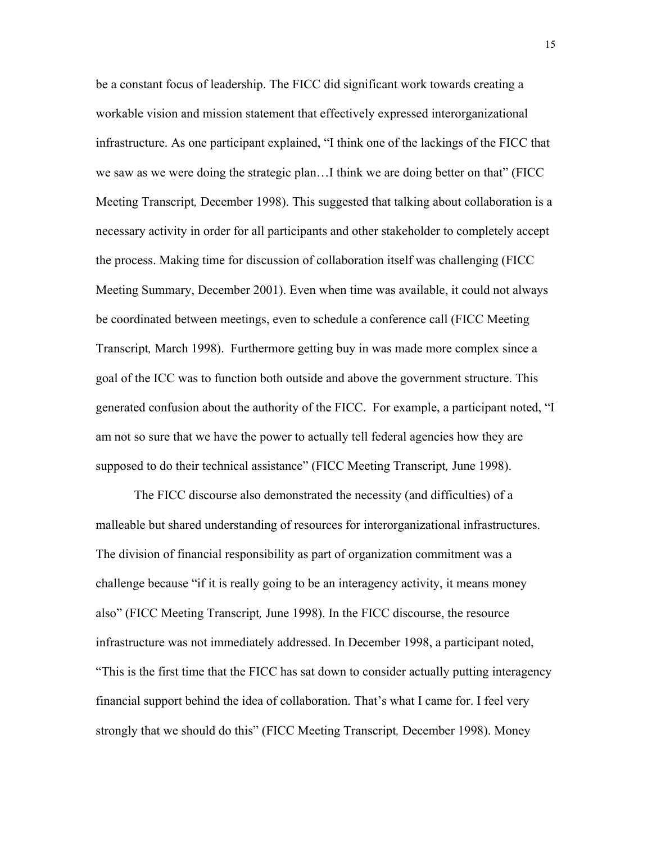be a constant focus of leadership. The FICC did significant work towards creating a workable vision and mission statement that effectively expressed interorganizational infrastructure. As one participant explained, "I think one of the lackings of the FICC that we saw as we were doing the strategic plan…I think we are doing better on that" (FICC Meeting Transcript*,* December 1998). This suggested that talking about collaboration is a necessary activity in order for all participants and other stakeholder to completely accept the process. Making time for discussion of collaboration itself was challenging (FICC Meeting Summary, December 2001). Even when time was available, it could not always be coordinated between meetings, even to schedule a conference call (FICC Meeting Transcript*,* March 1998). Furthermore getting buy in was made more complex since a goal of the ICC was to function both outside and above the government structure. This generated confusion about the authority of the FICC. For example, a participant noted, "I am not so sure that we have the power to actually tell federal agencies how they are supposed to do their technical assistance" (FICC Meeting Transcript*,* June 1998).

The FICC discourse also demonstrated the necessity (and difficulties) of a malleable but shared understanding of resources for interorganizational infrastructures. The division of financial responsibility as part of organization commitment was a challenge because "if it is really going to be an interagency activity, it means money also" (FICC Meeting Transcript*,* June 1998). In the FICC discourse, the resource infrastructure was not immediately addressed. In December 1998, a participant noted, "This is the first time that the FICC has sat down to consider actually putting interagency financial support behind the idea of collaboration. That's what I came for. I feel very strongly that we should do this" (FICC Meeting Transcript*,* December 1998). Money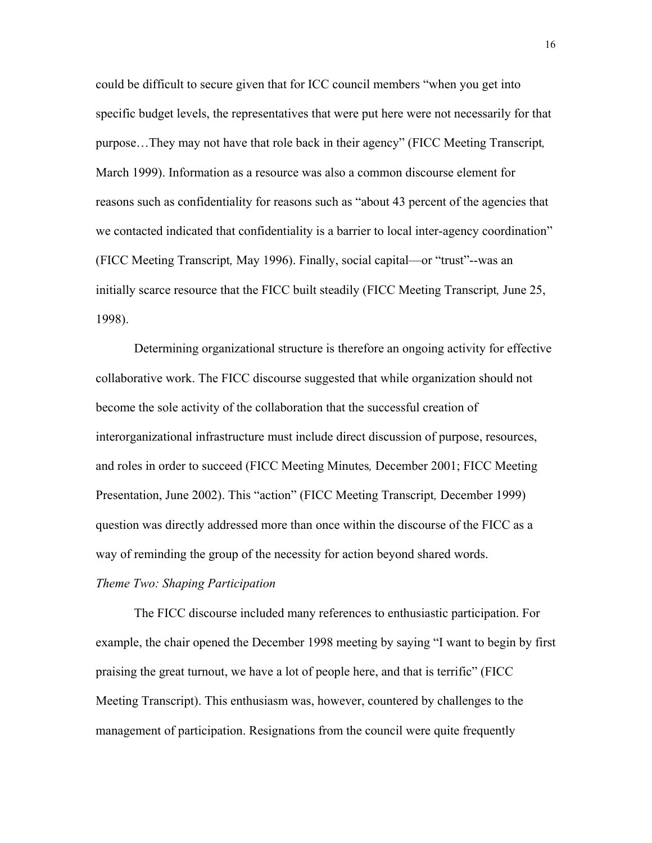could be difficult to secure given that for ICC council members "when you get into specific budget levels, the representatives that were put here were not necessarily for that purpose…They may not have that role back in their agency" (FICC Meeting Transcript*,*  March 1999). Information as a resource was also a common discourse element for reasons such as confidentiality for reasons such as "about 43 percent of the agencies that we contacted indicated that confidentiality is a barrier to local inter-agency coordination" (FICC Meeting Transcript*,* May 1996). Finally, social capital—or "trust"--was an initially scarce resource that the FICC built steadily (FICC Meeting Transcript*,* June 25, 1998).

Determining organizational structure is therefore an ongoing activity for effective collaborative work. The FICC discourse suggested that while organization should not become the sole activity of the collaboration that the successful creation of interorganizational infrastructure must include direct discussion of purpose, resources, and roles in order to succeed (FICC Meeting Minutes*,* December 2001; FICC Meeting Presentation, June 2002). This "action" (FICC Meeting Transcript*,* December 1999) question was directly addressed more than once within the discourse of the FICC as a way of reminding the group of the necessity for action beyond shared words.

### *Theme Two: Shaping Participation*

The FICC discourse included many references to enthusiastic participation. For example, the chair opened the December 1998 meeting by saying "I want to begin by first praising the great turnout, we have a lot of people here, and that is terrific" (FICC Meeting Transcript). This enthusiasm was, however, countered by challenges to the management of participation. Resignations from the council were quite frequently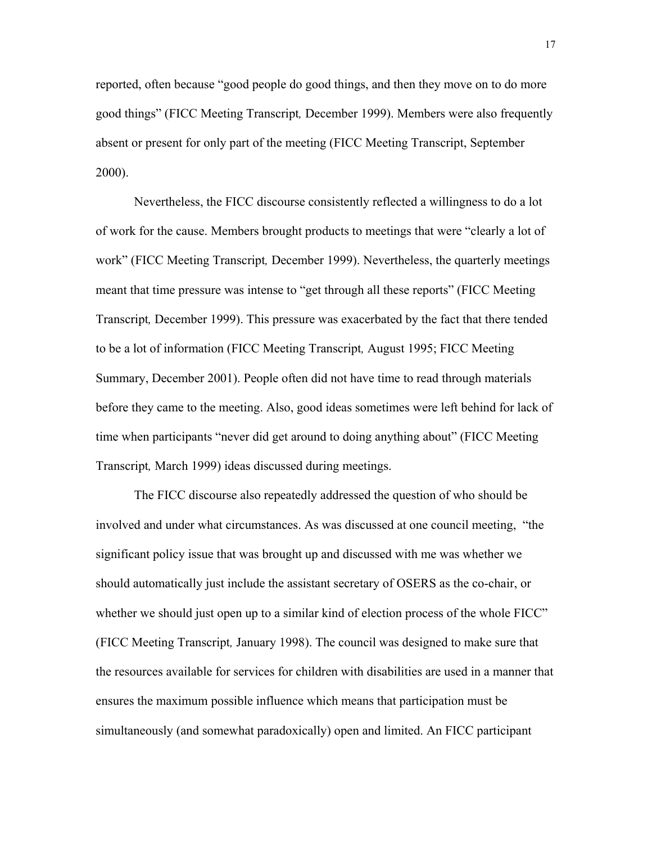reported, often because "good people do good things, and then they move on to do more good things" (FICC Meeting Transcript*,* December 1999). Members were also frequently absent or present for only part of the meeting (FICC Meeting Transcript, September 2000).

Nevertheless, the FICC discourse consistently reflected a willingness to do a lot of work for the cause. Members brought products to meetings that were "clearly a lot of work" (FICC Meeting Transcript*,* December 1999). Nevertheless, the quarterly meetings meant that time pressure was intense to "get through all these reports" (FICC Meeting Transcript*,* December 1999). This pressure was exacerbated by the fact that there tended to be a lot of information (FICC Meeting Transcript*,* August 1995; FICC Meeting Summary, December 2001). People often did not have time to read through materials before they came to the meeting. Also, good ideas sometimes were left behind for lack of time when participants "never did get around to doing anything about" (FICC Meeting Transcript*,* March 1999) ideas discussed during meetings.

 The FICC discourse also repeatedly addressed the question of who should be involved and under what circumstances. As was discussed at one council meeting, "the significant policy issue that was brought up and discussed with me was whether we should automatically just include the assistant secretary of OSERS as the co-chair, or whether we should just open up to a similar kind of election process of the whole FICC" (FICC Meeting Transcript*,* January 1998). The council was designed to make sure that the resources available for services for children with disabilities are used in a manner that ensures the maximum possible influence which means that participation must be simultaneously (and somewhat paradoxically) open and limited. An FICC participant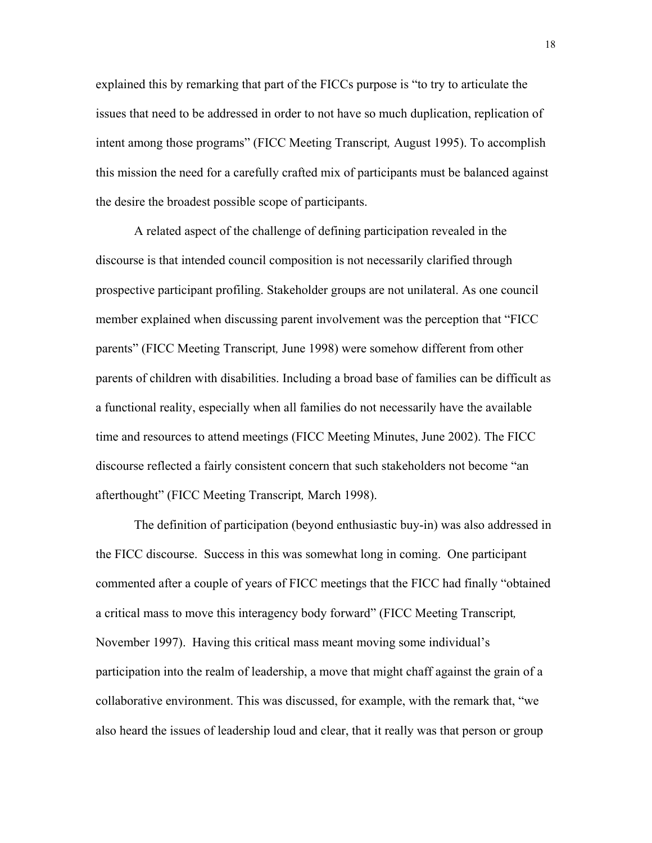explained this by remarking that part of the FICCs purpose is "to try to articulate the issues that need to be addressed in order to not have so much duplication, replication of intent among those programs" (FICC Meeting Transcript*,* August 1995). To accomplish this mission the need for a carefully crafted mix of participants must be balanced against the desire the broadest possible scope of participants.

A related aspect of the challenge of defining participation revealed in the discourse is that intended council composition is not necessarily clarified through prospective participant profiling. Stakeholder groups are not unilateral. As one council member explained when discussing parent involvement was the perception that "FICC parents" (FICC Meeting Transcript*,* June 1998) were somehow different from other parents of children with disabilities. Including a broad base of families can be difficult as a functional reality, especially when all families do not necessarily have the available time and resources to attend meetings (FICC Meeting Minutes, June 2002). The FICC discourse reflected a fairly consistent concern that such stakeholders not become "an afterthought" (FICC Meeting Transcript*,* March 1998).

 The definition of participation (beyond enthusiastic buy-in) was also addressed in the FICC discourse. Success in this was somewhat long in coming. One participant commented after a couple of years of FICC meetings that the FICC had finally "obtained a critical mass to move this interagency body forward" (FICC Meeting Transcript*,*  November 1997). Having this critical mass meant moving some individual's participation into the realm of leadership, a move that might chaff against the grain of a collaborative environment. This was discussed, for example, with the remark that, "we also heard the issues of leadership loud and clear, that it really was that person or group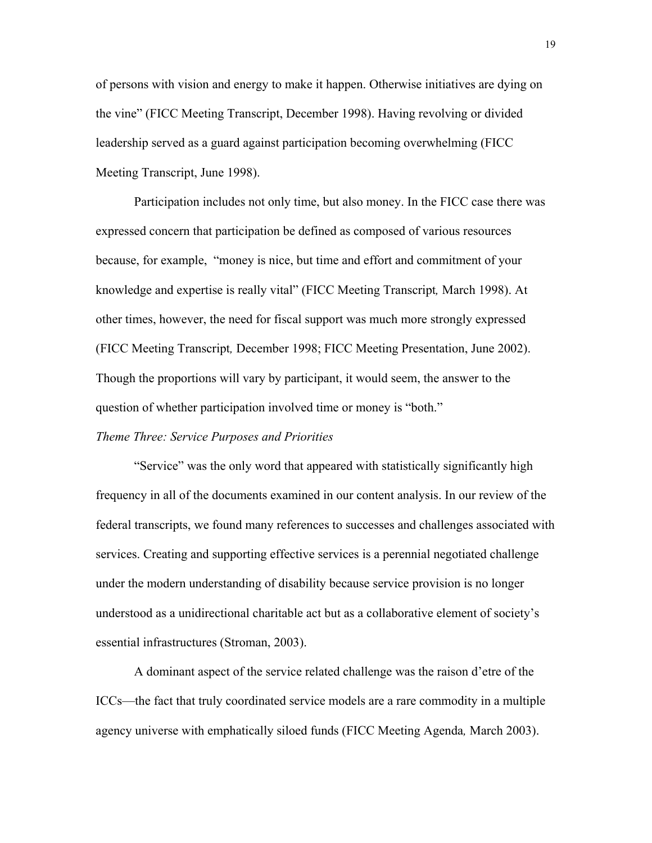of persons with vision and energy to make it happen. Otherwise initiatives are dying on the vine" (FICC Meeting Transcript, December 1998). Having revolving or divided leadership served as a guard against participation becoming overwhelming (FICC Meeting Transcript, June 1998).

Participation includes not only time, but also money. In the FICC case there was expressed concern that participation be defined as composed of various resources because, for example, "money is nice, but time and effort and commitment of your knowledge and expertise is really vital" (FICC Meeting Transcript*,* March 1998). At other times, however, the need for fiscal support was much more strongly expressed (FICC Meeting Transcript*,* December 1998; FICC Meeting Presentation, June 2002). Though the proportions will vary by participant, it would seem, the answer to the question of whether participation involved time or money is "both."

#### *Theme Three: Service Purposes and Priorities*

 "Service" was the only word that appeared with statistically significantly high frequency in all of the documents examined in our content analysis. In our review of the federal transcripts, we found many references to successes and challenges associated with services. Creating and supporting effective services is a perennial negotiated challenge under the modern understanding of disability because service provision is no longer understood as a unidirectional charitable act but as a collaborative element of society's essential infrastructures (Stroman, 2003).

A dominant aspect of the service related challenge was the raison d'etre of the ICCs—the fact that truly coordinated service models are a rare commodity in a multiple agency universe with emphatically siloed funds (FICC Meeting Agenda*,* March 2003).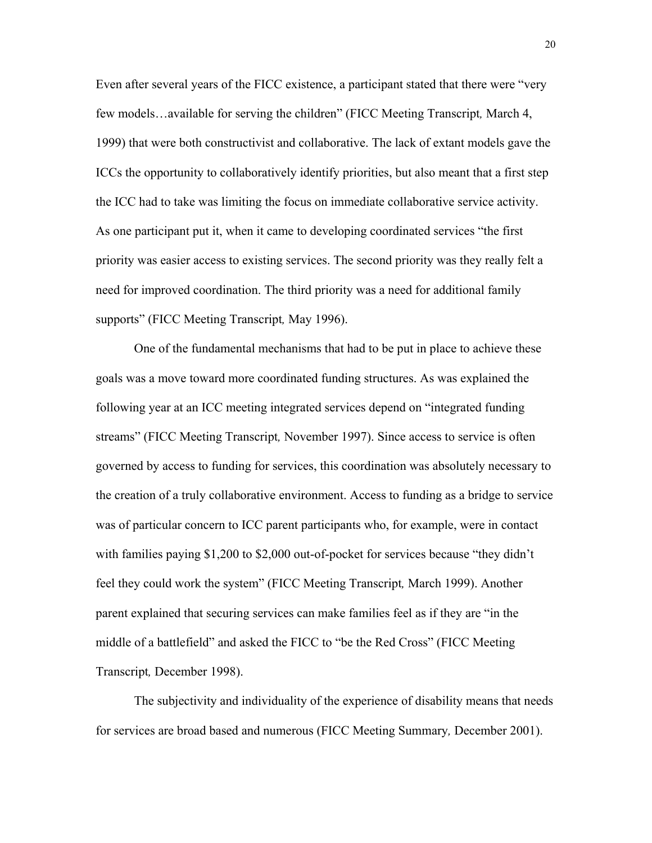Even after several years of the FICC existence, a participant stated that there were "very few models…available for serving the children" (FICC Meeting Transcript*,* March 4, 1999) that were both constructivist and collaborative. The lack of extant models gave the ICCs the opportunity to collaboratively identify priorities, but also meant that a first step the ICC had to take was limiting the focus on immediate collaborative service activity. As one participant put it, when it came to developing coordinated services "the first priority was easier access to existing services. The second priority was they really felt a need for improved coordination. The third priority was a need for additional family supports" (FICC Meeting Transcript*,* May 1996).

One of the fundamental mechanisms that had to be put in place to achieve these goals was a move toward more coordinated funding structures. As was explained the following year at an ICC meeting integrated services depend on "integrated funding streams" (FICC Meeting Transcript*,* November 1997). Since access to service is often governed by access to funding for services, this coordination was absolutely necessary to the creation of a truly collaborative environment. Access to funding as a bridge to service was of particular concern to ICC parent participants who, for example, were in contact with families paying \$1,200 to \$2,000 out-of-pocket for services because "they didn't feel they could work the system" (FICC Meeting Transcript*,* March 1999). Another parent explained that securing services can make families feel as if they are "in the middle of a battlefield" and asked the FICC to "be the Red Cross" (FICC Meeting Transcript*,* December 1998).

The subjectivity and individuality of the experience of disability means that needs for services are broad based and numerous (FICC Meeting Summary*,* December 2001).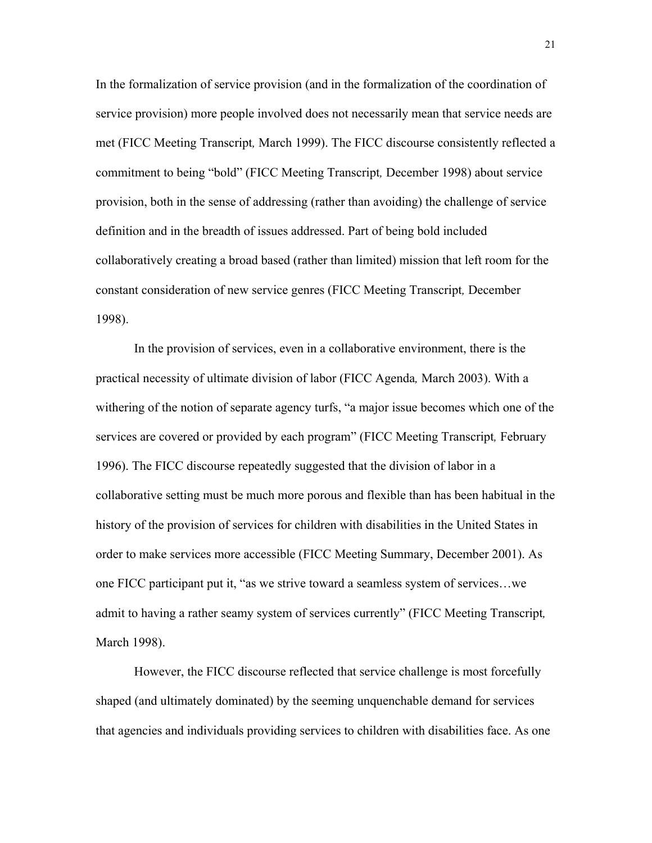In the formalization of service provision (and in the formalization of the coordination of service provision) more people involved does not necessarily mean that service needs are met (FICC Meeting Transcript*,* March 1999). The FICC discourse consistently reflected a commitment to being "bold" (FICC Meeting Transcript*,* December 1998) about service provision, both in the sense of addressing (rather than avoiding) the challenge of service definition and in the breadth of issues addressed. Part of being bold included collaboratively creating a broad based (rather than limited) mission that left room for the constant consideration of new service genres (FICC Meeting Transcript*,* December 1998).

In the provision of services, even in a collaborative environment, there is the practical necessity of ultimate division of labor (FICC Agenda*,* March 2003). With a withering of the notion of separate agency turfs, "a major issue becomes which one of the services are covered or provided by each program" (FICC Meeting Transcript*,* February 1996). The FICC discourse repeatedly suggested that the division of labor in a collaborative setting must be much more porous and flexible than has been habitual in the history of the provision of services for children with disabilities in the United States in order to make services more accessible (FICC Meeting Summary, December 2001). As one FICC participant put it, "as we strive toward a seamless system of services…we admit to having a rather seamy system of services currently" (FICC Meeting Transcript*,* March 1998).

However, the FICC discourse reflected that service challenge is most forcefully shaped (and ultimately dominated) by the seeming unquenchable demand for services that agencies and individuals providing services to children with disabilities face. As one

21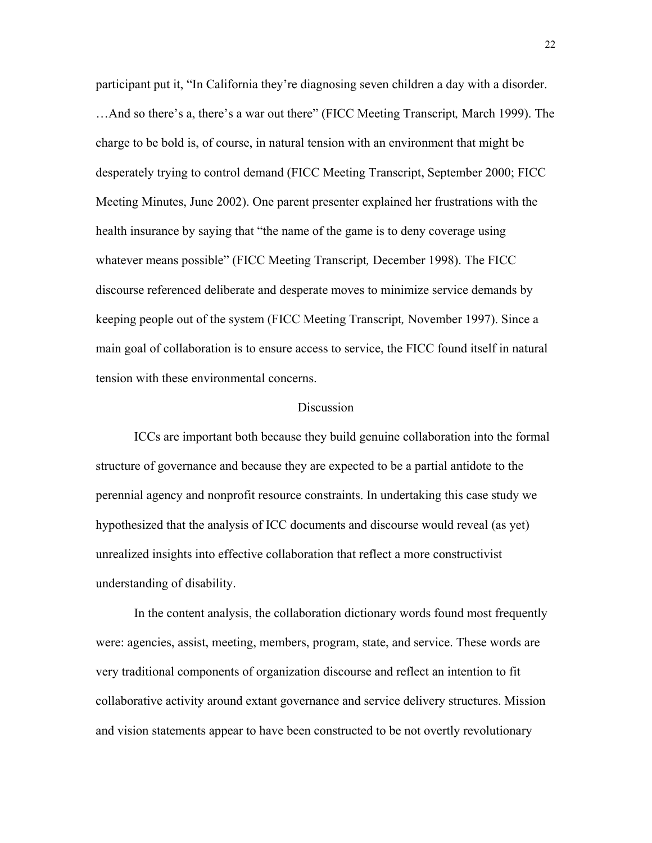participant put it, "In California they're diagnosing seven children a day with a disorder. …And so there's a, there's a war out there" (FICC Meeting Transcript*,* March 1999). The charge to be bold is, of course, in natural tension with an environment that might be desperately trying to control demand (FICC Meeting Transcript, September 2000; FICC Meeting Minutes, June 2002). One parent presenter explained her frustrations with the health insurance by saying that "the name of the game is to deny coverage using whatever means possible" (FICC Meeting Transcript*,* December 1998). The FICC discourse referenced deliberate and desperate moves to minimize service demands by keeping people out of the system (FICC Meeting Transcript*,* November 1997). Since a main goal of collaboration is to ensure access to service, the FICC found itself in natural tension with these environmental concerns.

#### **Discussion**

 ICCs are important both because they build genuine collaboration into the formal structure of governance and because they are expected to be a partial antidote to the perennial agency and nonprofit resource constraints. In undertaking this case study we hypothesized that the analysis of ICC documents and discourse would reveal (as yet) unrealized insights into effective collaboration that reflect a more constructivist understanding of disability.

In the content analysis, the collaboration dictionary words found most frequently were: agencies, assist, meeting, members, program, state, and service. These words are very traditional components of organization discourse and reflect an intention to fit collaborative activity around extant governance and service delivery structures. Mission and vision statements appear to have been constructed to be not overtly revolutionary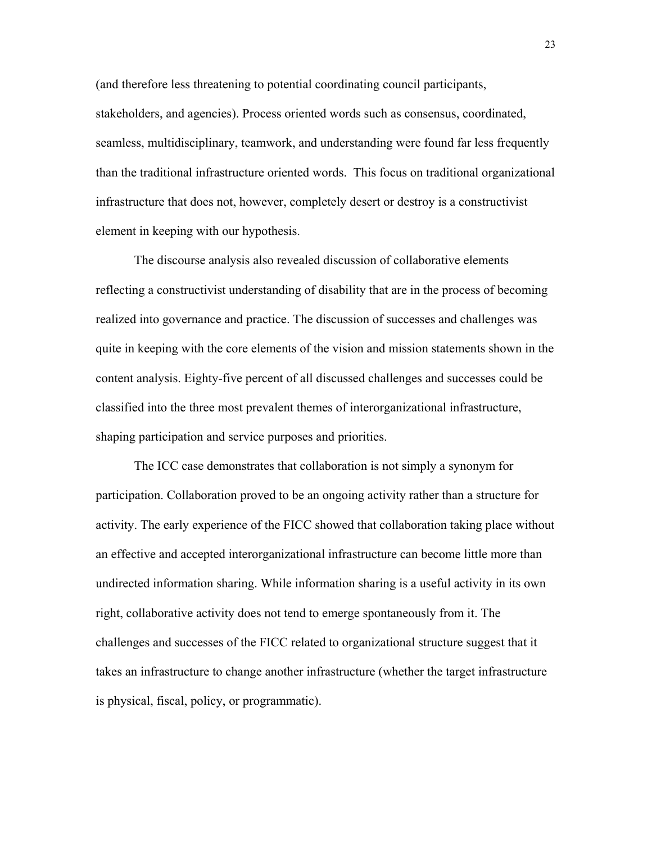(and therefore less threatening to potential coordinating council participants, stakeholders, and agencies). Process oriented words such as consensus, coordinated, seamless, multidisciplinary, teamwork, and understanding were found far less frequently than the traditional infrastructure oriented words. This focus on traditional organizational infrastructure that does not, however, completely desert or destroy is a constructivist element in keeping with our hypothesis.

The discourse analysis also revealed discussion of collaborative elements reflecting a constructivist understanding of disability that are in the process of becoming realized into governance and practice. The discussion of successes and challenges was quite in keeping with the core elements of the vision and mission statements shown in the content analysis. Eighty-five percent of all discussed challenges and successes could be classified into the three most prevalent themes of interorganizational infrastructure, shaping participation and service purposes and priorities.

The ICC case demonstrates that collaboration is not simply a synonym for participation. Collaboration proved to be an ongoing activity rather than a structure for activity. The early experience of the FICC showed that collaboration taking place without an effective and accepted interorganizational infrastructure can become little more than undirected information sharing. While information sharing is a useful activity in its own right, collaborative activity does not tend to emerge spontaneously from it. The challenges and successes of the FICC related to organizational structure suggest that it takes an infrastructure to change another infrastructure (whether the target infrastructure is physical, fiscal, policy, or programmatic).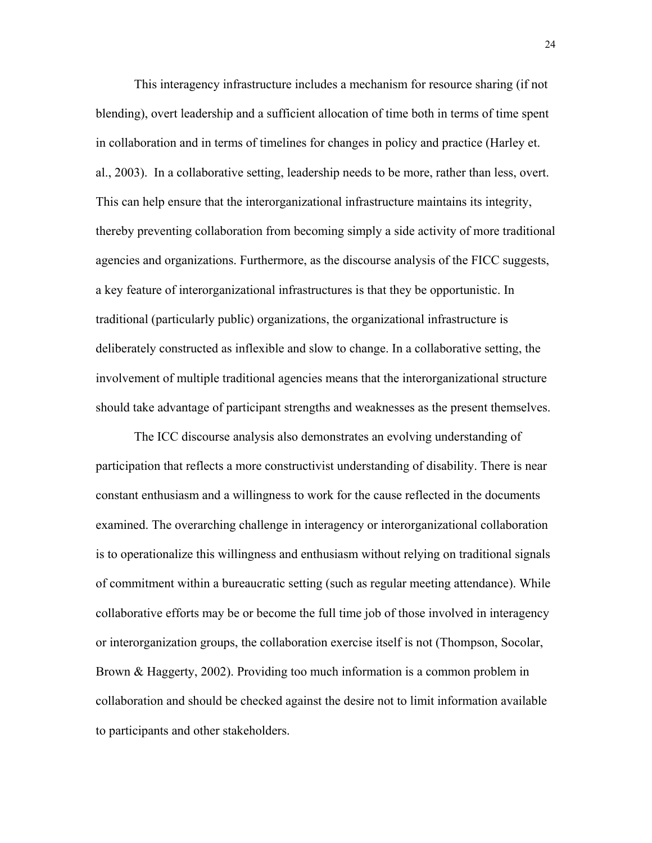This interagency infrastructure includes a mechanism for resource sharing (if not blending), overt leadership and a sufficient allocation of time both in terms of time spent in collaboration and in terms of timelines for changes in policy and practice (Harley et. al., 2003). In a collaborative setting, leadership needs to be more, rather than less, overt. This can help ensure that the interorganizational infrastructure maintains its integrity, thereby preventing collaboration from becoming simply a side activity of more traditional agencies and organizations. Furthermore, as the discourse analysis of the FICC suggests, a key feature of interorganizational infrastructures is that they be opportunistic. In traditional (particularly public) organizations, the organizational infrastructure is deliberately constructed as inflexible and slow to change. In a collaborative setting, the involvement of multiple traditional agencies means that the interorganizational structure should take advantage of participant strengths and weaknesses as the present themselves.

The ICC discourse analysis also demonstrates an evolving understanding of participation that reflects a more constructivist understanding of disability. There is near constant enthusiasm and a willingness to work for the cause reflected in the documents examined. The overarching challenge in interagency or interorganizational collaboration is to operationalize this willingness and enthusiasm without relying on traditional signals of commitment within a bureaucratic setting (such as regular meeting attendance). While collaborative efforts may be or become the full time job of those involved in interagency or interorganization groups, the collaboration exercise itself is not (Thompson, Socolar, Brown & Haggerty, 2002). Providing too much information is a common problem in collaboration and should be checked against the desire not to limit information available to participants and other stakeholders.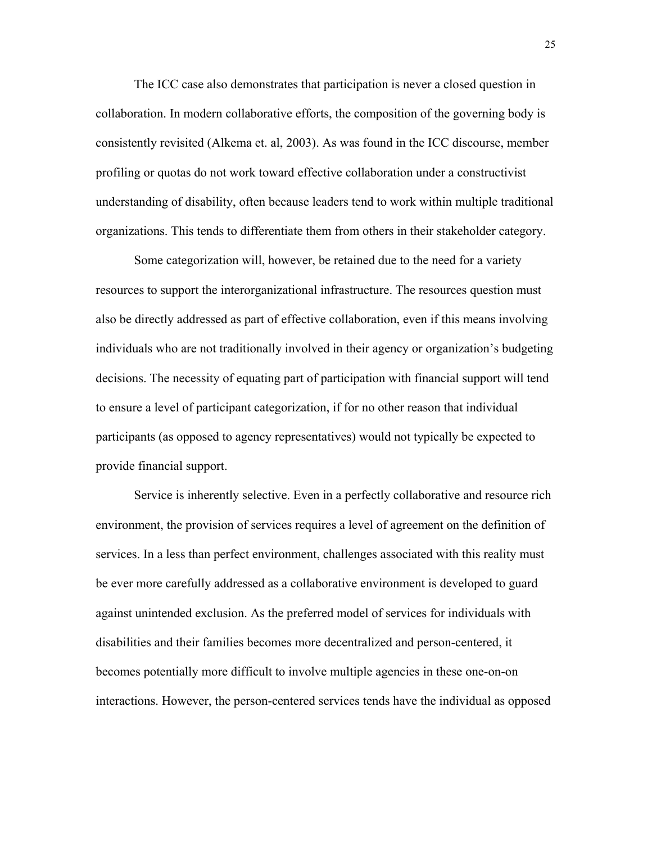The ICC case also demonstrates that participation is never a closed question in collaboration. In modern collaborative efforts, the composition of the governing body is consistently revisited (Alkema et. al, 2003). As was found in the ICC discourse, member profiling or quotas do not work toward effective collaboration under a constructivist understanding of disability, often because leaders tend to work within multiple traditional organizations. This tends to differentiate them from others in their stakeholder category.

Some categorization will, however, be retained due to the need for a variety resources to support the interorganizational infrastructure. The resources question must also be directly addressed as part of effective collaboration, even if this means involving individuals who are not traditionally involved in their agency or organization's budgeting decisions. The necessity of equating part of participation with financial support will tend to ensure a level of participant categorization, if for no other reason that individual participants (as opposed to agency representatives) would not typically be expected to provide financial support.

Service is inherently selective. Even in a perfectly collaborative and resource rich environment, the provision of services requires a level of agreement on the definition of services. In a less than perfect environment, challenges associated with this reality must be ever more carefully addressed as a collaborative environment is developed to guard against unintended exclusion. As the preferred model of services for individuals with disabilities and their families becomes more decentralized and person-centered, it becomes potentially more difficult to involve multiple agencies in these one-on-on interactions. However, the person-centered services tends have the individual as opposed

25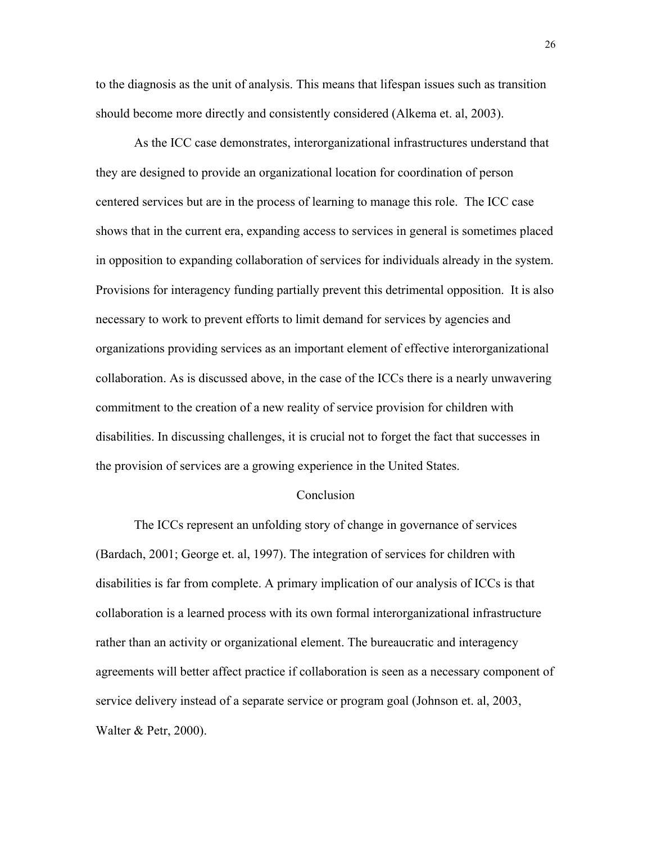to the diagnosis as the unit of analysis. This means that lifespan issues such as transition should become more directly and consistently considered (Alkema et. al, 2003).

As the ICC case demonstrates, interorganizational infrastructures understand that they are designed to provide an organizational location for coordination of person centered services but are in the process of learning to manage this role. The ICC case shows that in the current era, expanding access to services in general is sometimes placed in opposition to expanding collaboration of services for individuals already in the system. Provisions for interagency funding partially prevent this detrimental opposition. It is also necessary to work to prevent efforts to limit demand for services by agencies and organizations providing services as an important element of effective interorganizational collaboration. As is discussed above, in the case of the ICCs there is a nearly unwavering commitment to the creation of a new reality of service provision for children with disabilities. In discussing challenges, it is crucial not to forget the fact that successes in the provision of services are a growing experience in the United States.

#### Conclusion

 The ICCs represent an unfolding story of change in governance of services (Bardach, 2001; George et. al, 1997). The integration of services for children with disabilities is far from complete. A primary implication of our analysis of ICCs is that collaboration is a learned process with its own formal interorganizational infrastructure rather than an activity or organizational element. The bureaucratic and interagency agreements will better affect practice if collaboration is seen as a necessary component of service delivery instead of a separate service or program goal (Johnson et. al, 2003, Walter & Petr, 2000).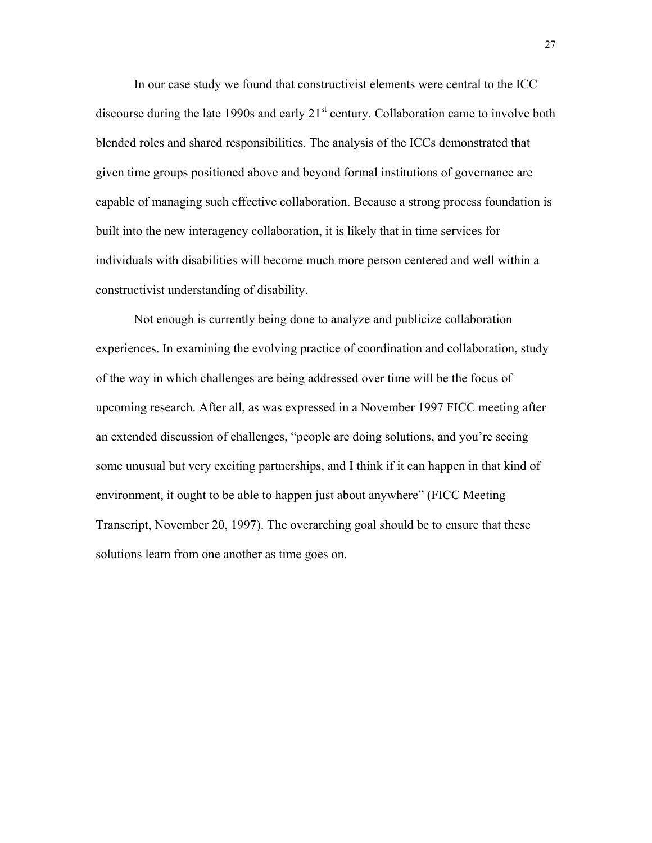In our case study we found that constructivist elements were central to the ICC discourse during the late 1990s and early  $21<sup>st</sup>$  century. Collaboration came to involve both blended roles and shared responsibilities. The analysis of the ICCs demonstrated that given time groups positioned above and beyond formal institutions of governance are capable of managing such effective collaboration. Because a strong process foundation is built into the new interagency collaboration, it is likely that in time services for individuals with disabilities will become much more person centered and well within a constructivist understanding of disability.

Not enough is currently being done to analyze and publicize collaboration experiences. In examining the evolving practice of coordination and collaboration, study of the way in which challenges are being addressed over time will be the focus of upcoming research. After all, as was expressed in a November 1997 FICC meeting after an extended discussion of challenges, "people are doing solutions, and you're seeing some unusual but very exciting partnerships, and I think if it can happen in that kind of environment, it ought to be able to happen just about anywhere" (FICC Meeting Transcript, November 20, 1997). The overarching goal should be to ensure that these solutions learn from one another as time goes on.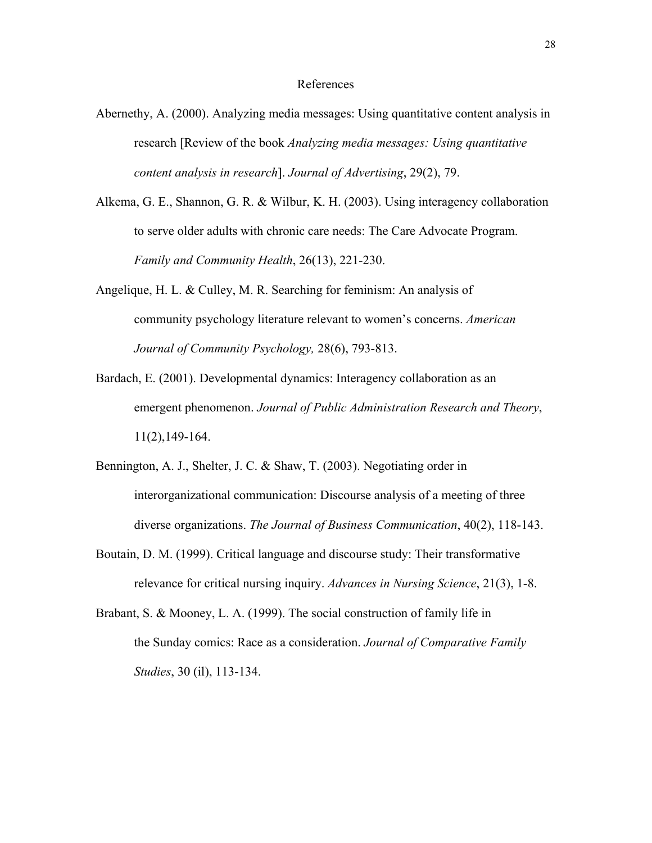#### References

- Abernethy, A. (2000). Analyzing media messages: Using quantitative content analysis in research [Review of the book *Analyzing media messages: Using quantitative content analysis in research*]. *Journal of Advertising*, 29(2), 79.
- Alkema, G. E., Shannon, G. R. & Wilbur, K. H. (2003). Using interagency collaboration to serve older adults with chronic care needs: The Care Advocate Program. *Family and Community Health*, 26(13), 221-230.
- Angelique, H. L. & Culley, M. R. Searching for feminism: An analysis of community psychology literature relevant to women's concerns. *American Journal of Community Psychology,* 28(6), 793-813.
- Bardach, E. (2001). Developmental dynamics: Interagency collaboration as an emergent phenomenon. *Journal of Public Administration Research and Theory*, 11(2),149-164.
- Bennington, A. J., Shelter, J. C. & Shaw, T. (2003). Negotiating order in interorganizational communication: Discourse analysis of a meeting of three diverse organizations. *The Journal of Business Communication*, 40(2), 118-143.
- Boutain, D. M. (1999). Critical language and discourse study: Their transformative relevance for critical nursing inquiry. *Advances in Nursing Science*, 21(3), 1-8.
- Brabant, S. & Mooney, L. A. (1999). The social construction of family life in the Sunday comics: Race as a consideration. *Journal of Comparative Family Studies*, 30 (il), 113-134.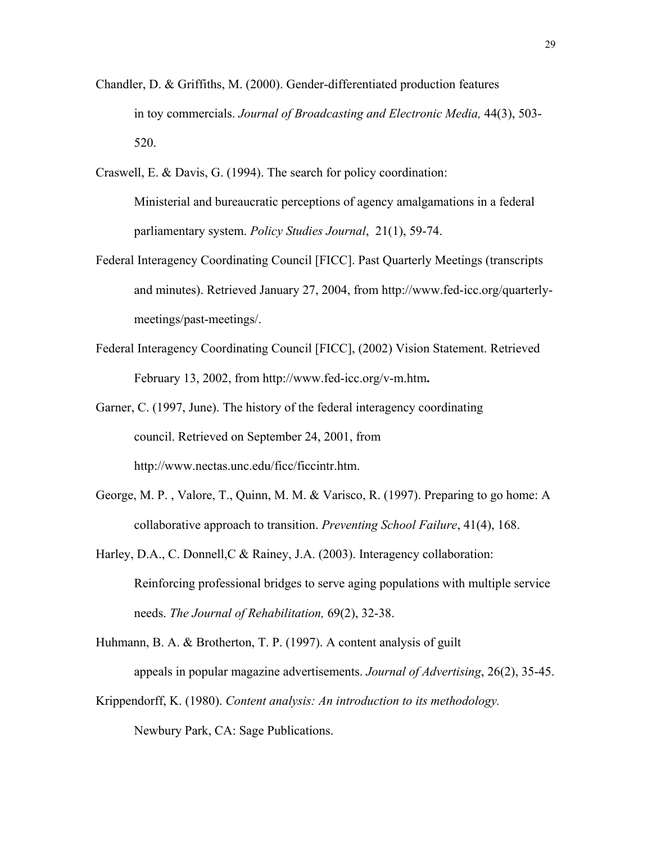- Chandler, D. & Griffiths, M. (2000). Gender-differentiated production features in toy commercials. *Journal of Broadcasting and Electronic Media,* 44(3), 503- 520.
- Craswell, E. & Davis, G. (1994). The search for policy coordination: Ministerial and bureaucratic perceptions of agency amalgamations in a federal parliamentary system. *Policy Studies Journal*, 21(1), 59-74.
- Federal Interagency Coordinating Council [FICC]. Past Quarterly Meetings (transcripts and minutes). Retrieved January 27, 2004, from http://www.fed-icc.org/quarterlymeetings/past-meetings/.
- Federal Interagency Coordinating Council [FICC], (2002) Vision Statement. Retrieved February 13, 2002, from http://www.fed-icc.org/v-m.htm**.**
- Garner, C. (1997, June). The history of the federal interagency coordinating council. Retrieved on September 24, 2001, from http://www.nectas.unc.edu/ficc/ficcintr.htm.
- George, M. P. , Valore, T., Quinn, M. M. & Varisco, R. (1997). Preparing to go home: A collaborative approach to transition. *Preventing School Failure*, 41(4), 168.
- Harley, D.A., C. Donnell, C & Rainey, J.A. (2003). Interagency collaboration: Reinforcing professional bridges to serve aging populations with multiple service needs. *The Journal of Rehabilitation,* 69(2), 32-38.
- Huhmann, B. A. & Brotherton, T. P. (1997). A content analysis of guilt appeals in popular magazine advertisements. *Journal of Advertising*, 26(2), 35-45.
- Krippendorff, K. (1980). *Content analysis: An introduction to its methodology.* Newbury Park, CA: Sage Publications.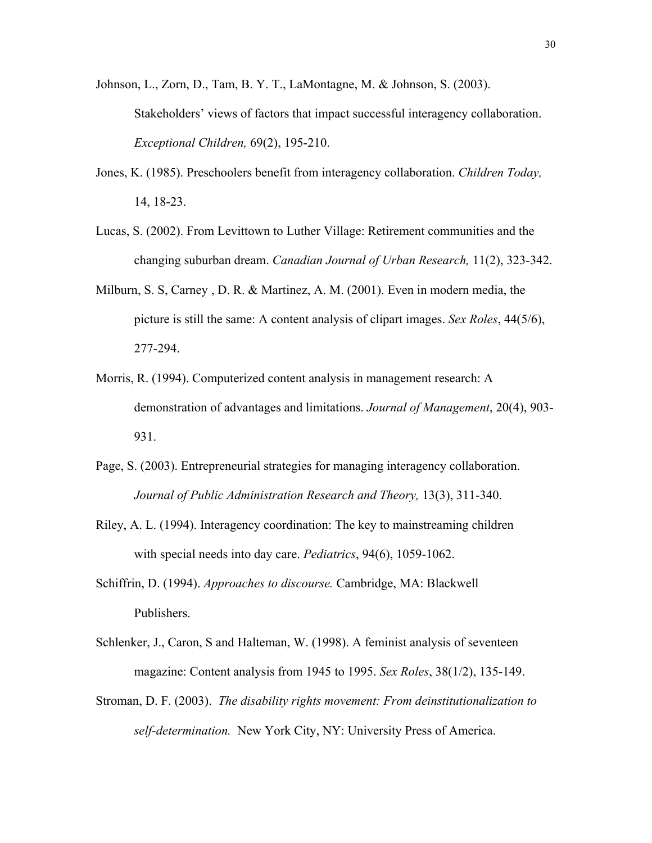- Johnson, L., Zorn, D., Tam, B. Y. T., LaMontagne, M. & Johnson, S. (2003). Stakeholders' views of factors that impact successful interagency collaboration. *Exceptional Children,* 69(2), 195-210.
- Jones, K. (1985). Preschoolers benefit from interagency collaboration. *Children Today,*  14, 18-23.
- Lucas, S. (2002). From Levittown to Luther Village: Retirement communities and the changing suburban dream. *Canadian Journal of Urban Research,* 11(2), 323-342.
- Milburn, S. S, Carney , D. R. & Martinez, A. M. (2001). Even in modern media, the picture is still the same: A content analysis of clipart images. *Sex Roles*, 44(5/6), 277-294.
- Morris, R. (1994). Computerized content analysis in management research: A demonstration of advantages and limitations. *Journal of Management*, 20(4), 903- 931.
- Page, S. (2003). Entrepreneurial strategies for managing interagency collaboration. *Journal of Public Administration Research and Theory,* 13(3), 311-340.
- Riley, A. L. (1994). Interagency coordination: The key to mainstreaming children with special needs into day care. *Pediatrics*, 94(6), 1059-1062.
- Schiffrin, D. (1994). *Approaches to discourse.* Cambridge, MA: Blackwell Publishers.
- Schlenker, J., Caron, S and Halteman, W. (1998). A feminist analysis of seventeen magazine: Content analysis from 1945 to 1995. *Sex Roles*, 38(1/2), 135-149.
- Stroman, D. F. (2003). *The disability rights movement: From deinstitutionalization to self-determination.* New York City, NY: University Press of America.